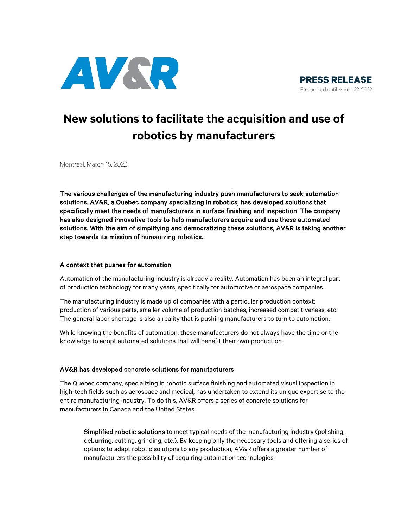



# **New solutions to facilitate the acquisition and use of robotics by manufacturers**

Montreal, March 15, 2022

The various challenges of the manufacturing industry push manufacturers to seek automation solutions. AV&R, a Quebec company specializing in robotics, has developed solutions that specifically meet the needs of manufacturers in surface finishing and inspection. The company has also designed innovative tools to help manufacturers acquire and use these automated solutions. With the aim of simplifying and democratizing these solutions, AV&R is taking another step towards its mission of humanizing robotics.

## A context that pushes for automation

Automation of the manufacturing industry is already a reality. Automation has been an integral part of production technology for many years, specifically for automotive or aerospace companies.

The manufacturing industry is made up of companies with a particular production context: production of various parts, smaller volume of production batches, increased competitiveness, etc. The general labor shortage is also a reality that is pushing manufacturers to turn to automation.

While knowing the benefits of automation, these manufacturers do not always have the time or the knowledge to adopt automated solutions that will benefit their own production.

# AV&R has developed concrete solutions for manufacturers

The Quebec company, specializing in robotic surface finishing and automated visual inspection in high-tech fields such as aerospace and medical, has undertaken to extend its unique expertise to the entire manufacturing industry. To do this, AV&R offers a series of concrete solutions for manufacturers in Canada and the United States:

Simplified robotic solutions to meet typical needs of the manufacturing industry (polishing, deburring, cutting, grinding, etc.). By keeping only the necessary tools and offering a series of options to adapt robotic solutions to any production, AV&R offers a greater number of manufacturers the possibility of acquiring automation technologies